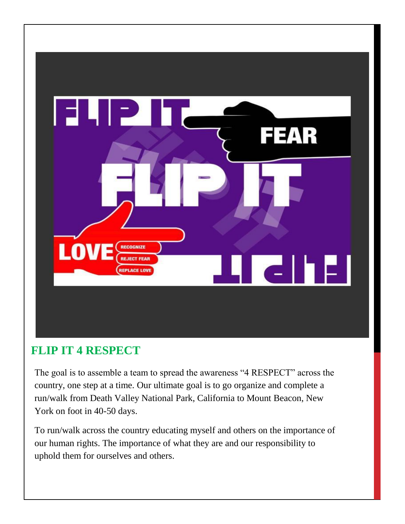

## **FLIP IT 4 RESPECT**

The goal is to assemble a team to spread the awareness "4 RESPECT" across the country, one step at a time. Our ultimate goal is to go organize and complete a run/walk from Death Valley National Park, California to Mount Beacon, New York on foot in 40-50 days.

To run/walk across the country educating myself and others on the importance of our human rights. The importance of what they are and our responsibility to uphold them for ourselves and others.